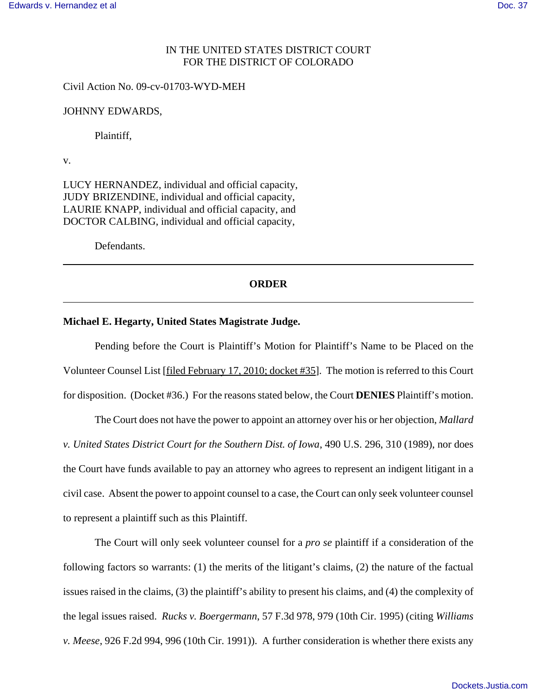## IN THE UNITED STATES DISTRICT COURT FOR THE DISTRICT OF COLORADO

Civil Action No. 09-cv-01703-WYD-MEH

JOHNNY EDWARDS,

Plaintiff,

v.

LUCY HERNANDEZ, individual and official capacity, JUDY BRIZENDINE, individual and official capacity, LAURIE KNAPP, individual and official capacity, and DOCTOR CALBING, individual and official capacity,

Defendants.

## **ORDER**

## **Michael E. Hegarty, United States Magistrate Judge.**

Pending before the Court is Plaintiff's Motion for Plaintiff's Name to be Placed on the Volunteer Counsel List [filed February 17, 2010; docket #35]. The motion is referred to this Court for disposition. (Docket #36.) For the reasons stated below, the Court **DENIES** Plaintiff's motion.

The Court does not have the power to appoint an attorney over his or her objection, *Mallard v. United States District Court for the Southern Dist. of Iowa*, 490 U.S. 296, 310 (1989), nor does the Court have funds available to pay an attorney who agrees to represent an indigent litigant in a civil case. Absent the power to appoint counsel to a case, the Court can only seek volunteer counsel to represent a plaintiff such as this Plaintiff.

The Court will only seek volunteer counsel for a *pro se* plaintiff if a consideration of the following factors so warrants: (1) the merits of the litigant's claims, (2) the nature of the factual issues raised in the claims, (3) the plaintiff's ability to present his claims, and (4) the complexity of the legal issues raised. *Rucks v. Boergermann*, 57 F.3d 978, 979 (10th Cir. 1995) (citing *Williams v. Meese*, 926 F.2d 994, 996 (10th Cir. 1991)). A further consideration is whether there exists any